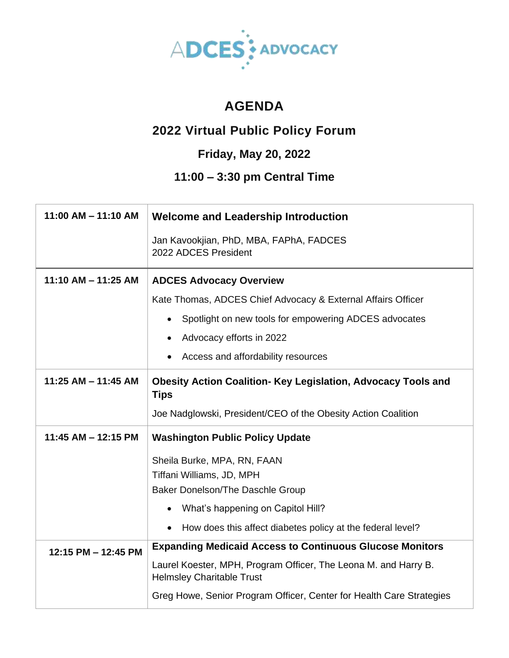

## **AGENDA**

## **2022 Virtual Public Policy Forum**

## **Friday, May 20, 2022**

## **11:00 – 3:30 pm Central Time**

| $11:00$ AM $- 11:10$ AM | <b>Welcome and Leadership Introduction</b>                                                          |
|-------------------------|-----------------------------------------------------------------------------------------------------|
|                         | Jan Kavookjian, PhD, MBA, FAPhA, FADCES<br>2022 ADCES President                                     |
| 11:10 AM $-$ 11:25 AM   | <b>ADCES Advocacy Overview</b>                                                                      |
|                         | Kate Thomas, ADCES Chief Advocacy & External Affairs Officer                                        |
|                         | Spotlight on new tools for empowering ADCES advocates                                               |
|                         | Advocacy efforts in 2022                                                                            |
|                         | Access and affordability resources                                                                  |
| 11:25 AM $-$ 11:45 AM   | <b>Obesity Action Coalition- Key Legislation, Advocacy Tools and</b><br><b>Tips</b>                 |
|                         | Joe Nadglowski, President/CEO of the Obesity Action Coalition                                       |
| 11:45 AM - 12:15 PM     | <b>Washington Public Policy Update</b>                                                              |
|                         | Sheila Burke, MPA, RN, FAAN                                                                         |
|                         | Tiffani Williams, JD, MPH                                                                           |
|                         | Baker Donelson/The Daschle Group                                                                    |
|                         | What's happening on Capitol Hill?                                                                   |
|                         | How does this affect diabetes policy at the federal level?                                          |
| 12:15 PM - 12:45 PM     | <b>Expanding Medicaid Access to Continuous Glucose Monitors</b>                                     |
|                         | Laurel Koester, MPH, Program Officer, The Leona M. and Harry B.<br><b>Helmsley Charitable Trust</b> |
|                         | Greg Howe, Senior Program Officer, Center for Health Care Strategies                                |